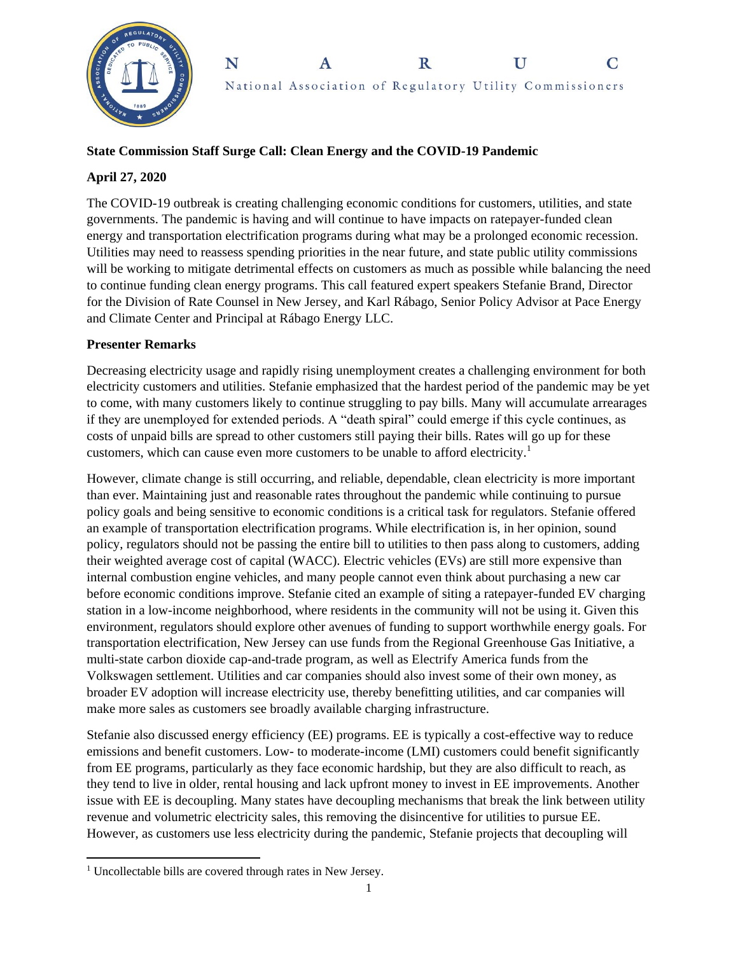



## **State Commission Staff Surge Call: Clean Energy and the COVID-19 Pandemic**

## **April 27, 2020**

The COVID-19 outbreak is creating challenging economic conditions for customers, utilities, and state governments. The pandemic is having and will continue to have impacts on ratepayer-funded clean energy and transportation electrification programs during what may be a prolonged economic recession. Utilities may need to reassess spending priorities in the near future, and state public utility commissions will be working to mitigate detrimental effects on customers as much as possible while balancing the need to continue funding clean energy programs. This call featured expert speakers Stefanie Brand, Director for the Division of Rate Counsel in New Jersey, and Karl Rábago, Senior Policy Advisor at Pace Energy and Climate Center and Principal at Rábago Energy LLC.

## **Presenter Remarks**

Decreasing electricity usage and rapidly rising unemployment creates a challenging environment for both electricity customers and utilities. Stefanie emphasized that the hardest period of the pandemic may be yet to come, with many customers likely to continue struggling to pay bills. Many will accumulate arrearages if they are unemployed for extended periods. A "death spiral" could emerge if this cycle continues, as costs of unpaid bills are spread to other customers still paying their bills. Rates will go up for these customers, which can cause even more customers to be unable to afford electricity.<sup>1</sup>

However, climate change is still occurring, and reliable, dependable, clean electricity is more important than ever. Maintaining just and reasonable rates throughout the pandemic while continuing to pursue policy goals and being sensitive to economic conditions is a critical task for regulators. Stefanie offered an example of transportation electrification programs. While electrification is, in her opinion, sound policy, regulators should not be passing the entire bill to utilities to then pass along to customers, adding their weighted average cost of capital (WACC). Electric vehicles (EVs) are still more expensive than internal combustion engine vehicles, and many people cannot even think about purchasing a new car before economic conditions improve. Stefanie cited an example of siting a ratepayer-funded EV charging station in a low-income neighborhood, where residents in the community will not be using it. Given this environment, regulators should explore other avenues of funding to support worthwhile energy goals. For transportation electrification, New Jersey can use funds from the Regional Greenhouse Gas Initiative, a multi-state carbon dioxide cap-and-trade program, as well as Electrify America funds from the Volkswagen settlement. Utilities and car companies should also invest some of their own money, as broader EV adoption will increase electricity use, thereby benefitting utilities, and car companies will make more sales as customers see broadly available charging infrastructure.

Stefanie also discussed energy efficiency (EE) programs. EE is typically a cost-effective way to reduce emissions and benefit customers. Low- to moderate-income (LMI) customers could benefit significantly from EE programs, particularly as they face economic hardship, but they are also difficult to reach, as they tend to live in older, rental housing and lack upfront money to invest in EE improvements. Another issue with EE is decoupling. Many states have decoupling mechanisms that break the link between utility revenue and volumetric electricity sales, this removing the disincentive for utilities to pursue EE. However, as customers use less electricity during the pandemic, Stefanie projects that decoupling will

 $\overline{\phantom{a}}$ <sup>1</sup> Uncollectable bills are covered through rates in New Jersey.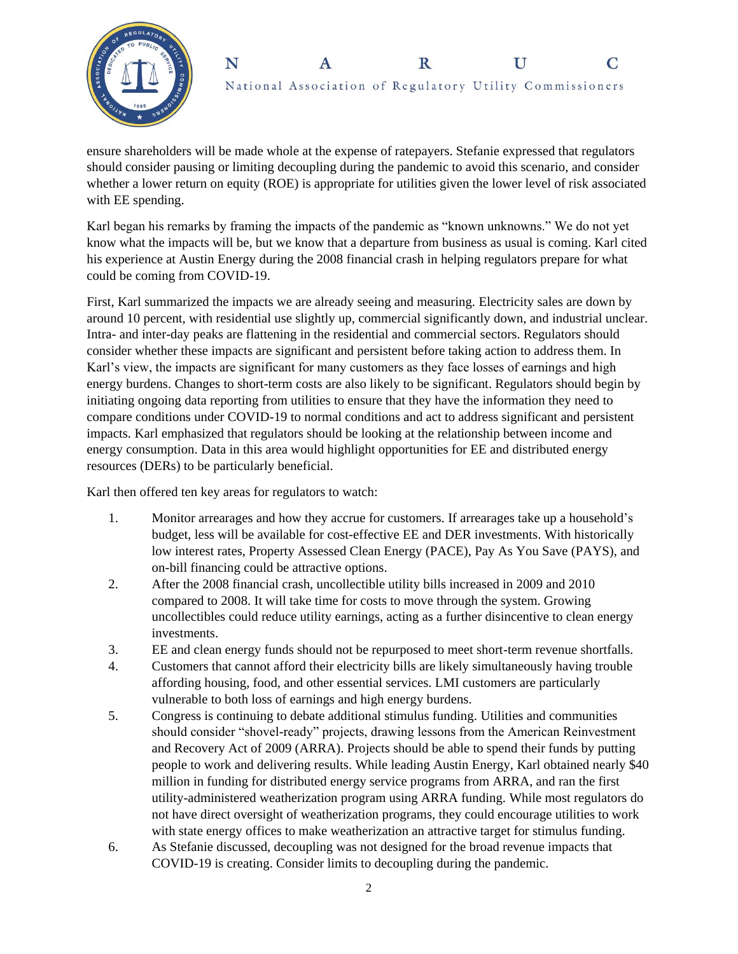



ensure shareholders will be made whole at the expense of ratepayers. Stefanie expressed that regulators should consider pausing or limiting decoupling during the pandemic to avoid this scenario, and consider whether a lower return on equity (ROE) is appropriate for utilities given the lower level of risk associated with EE spending.

Karl began his remarks by framing the impacts of the pandemic as "known unknowns." We do not yet know what the impacts will be, but we know that a departure from business as usual is coming. Karl cited his experience at Austin Energy during the 2008 financial crash in helping regulators prepare for what could be coming from COVID-19.

First, Karl summarized the impacts we are already seeing and measuring. Electricity sales are down by around 10 percent, with residential use slightly up, commercial significantly down, and industrial unclear. Intra- and inter-day peaks are flattening in the residential and commercial sectors. Regulators should consider whether these impacts are significant and persistent before taking action to address them. In Karl's view, the impacts are significant for many customers as they face losses of earnings and high energy burdens. Changes to short-term costs are also likely to be significant. Regulators should begin by initiating ongoing data reporting from utilities to ensure that they have the information they need to compare conditions under COVID-19 to normal conditions and act to address significant and persistent impacts. Karl emphasized that regulators should be looking at the relationship between income and energy consumption. Data in this area would highlight opportunities for EE and distributed energy resources (DERs) to be particularly beneficial.

Karl then offered ten key areas for regulators to watch:

- 1. Monitor arrearages and how they accrue for customers. If arrearages take up a household's budget, less will be available for cost-effective EE and DER investments. With historically low interest rates, Property Assessed Clean Energy (PACE), Pay As You Save (PAYS), and on-bill financing could be attractive options.
- 2. After the 2008 financial crash, uncollectible utility bills increased in 2009 and 2010 compared to 2008. It will take time for costs to move through the system. Growing uncollectibles could reduce utility earnings, acting as a further disincentive to clean energy investments.
- 3. EE and clean energy funds should not be repurposed to meet short-term revenue shortfalls.
- 4. Customers that cannot afford their electricity bills are likely simultaneously having trouble affording housing, food, and other essential services. LMI customers are particularly vulnerable to both loss of earnings and high energy burdens.
- 5. Congress is continuing to debate additional stimulus funding. Utilities and communities should consider "shovel-ready" projects, drawing lessons from the American Reinvestment and Recovery Act of 2009 (ARRA). Projects should be able to spend their funds by putting people to work and delivering results. While leading Austin Energy, Karl obtained nearly \$40 million in funding for distributed energy service programs from ARRA, and ran the first utility-administered weatherization program using ARRA funding. While most regulators do not have direct oversight of weatherization programs, they could encourage utilities to work with state energy offices to make weatherization an attractive target for stimulus funding.
- 6. As Stefanie discussed, decoupling was not designed for the broad revenue impacts that COVID-19 is creating. Consider limits to decoupling during the pandemic.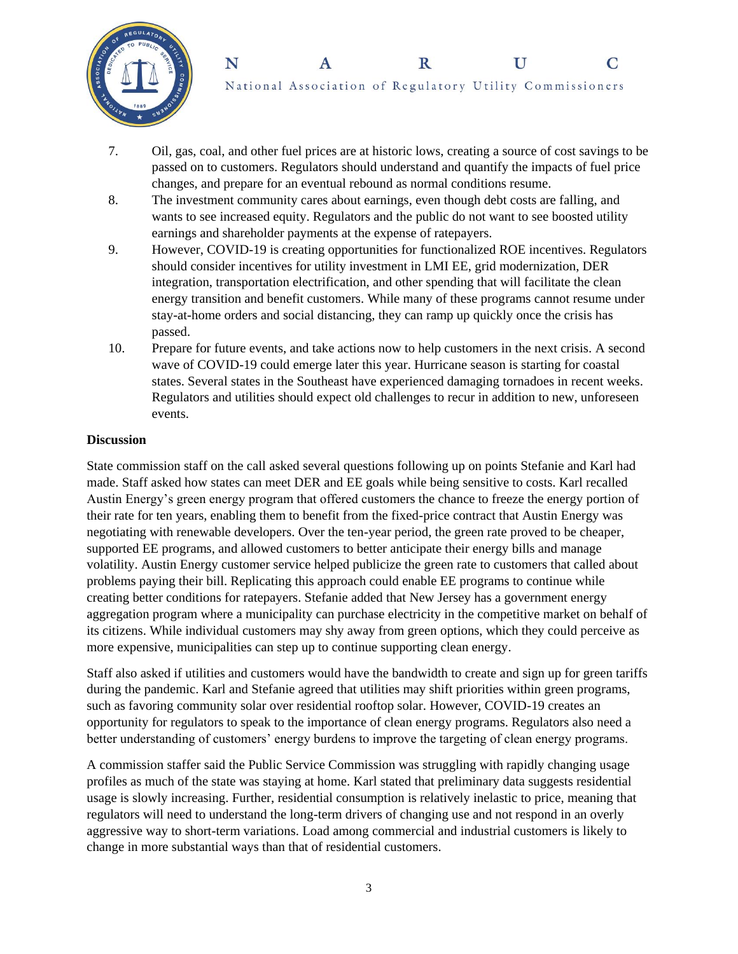



National Association of Regulatory Utility Commissioners

- 7. Oil, gas, coal, and other fuel prices are at historic lows, creating a source of cost savings to be passed on to customers. Regulators should understand and quantify the impacts of fuel price changes, and prepare for an eventual rebound as normal conditions resume.
- 8. The investment community cares about earnings, even though debt costs are falling, and wants to see increased equity. Regulators and the public do not want to see boosted utility earnings and shareholder payments at the expense of ratepayers.
- 9. However, COVID-19 is creating opportunities for functionalized ROE incentives. Regulators should consider incentives for utility investment in LMI EE, grid modernization, DER integration, transportation electrification, and other spending that will facilitate the clean energy transition and benefit customers. While many of these programs cannot resume under stay-at-home orders and social distancing, they can ramp up quickly once the crisis has passed.
- 10. Prepare for future events, and take actions now to help customers in the next crisis. A second wave of COVID-19 could emerge later this year. Hurricane season is starting for coastal states. Several states in the Southeast have experienced damaging tornadoes in recent weeks. Regulators and utilities should expect old challenges to recur in addition to new, unforeseen events.

#### **Discussion**

State commission staff on the call asked several questions following up on points Stefanie and Karl had made. Staff asked how states can meet DER and EE goals while being sensitive to costs. Karl recalled Austin Energy's green energy program that offered customers the chance to freeze the energy portion of their rate for ten years, enabling them to benefit from the fixed-price contract that Austin Energy was negotiating with renewable developers. Over the ten-year period, the green rate proved to be cheaper, supported EE programs, and allowed customers to better anticipate their energy bills and manage volatility. Austin Energy customer service helped publicize the green rate to customers that called about problems paying their bill. Replicating this approach could enable EE programs to continue while creating better conditions for ratepayers. Stefanie added that New Jersey has a government energy aggregation program where a municipality can purchase electricity in the competitive market on behalf of its citizens. While individual customers may shy away from green options, which they could perceive as more expensive, municipalities can step up to continue supporting clean energy.

Staff also asked if utilities and customers would have the bandwidth to create and sign up for green tariffs during the pandemic. Karl and Stefanie agreed that utilities may shift priorities within green programs, such as favoring community solar over residential rooftop solar. However, COVID-19 creates an opportunity for regulators to speak to the importance of clean energy programs. Regulators also need a better understanding of customers' energy burdens to improve the targeting of clean energy programs.

A commission staffer said the Public Service Commission was struggling with rapidly changing usage profiles as much of the state was staying at home. Karl stated that preliminary data suggests residential usage is slowly increasing. Further, residential consumption is relatively inelastic to price, meaning that regulators will need to understand the long-term drivers of changing use and not respond in an overly aggressive way to short-term variations. Load among commercial and industrial customers is likely to change in more substantial ways than that of residential customers.